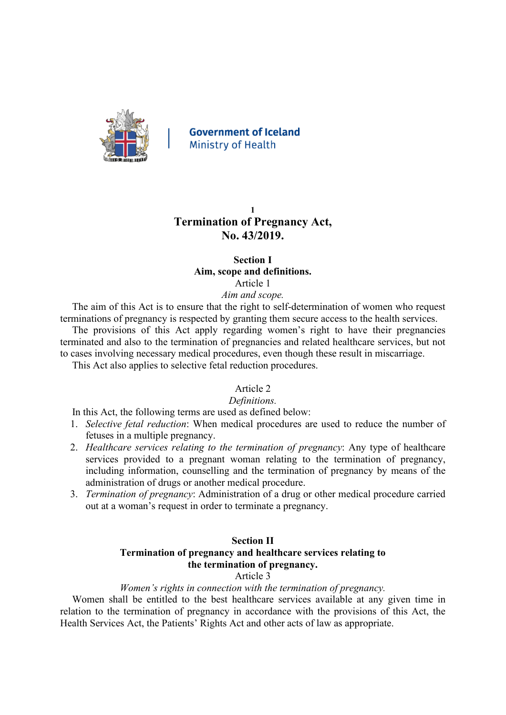

**Government of Iceland Ministry of Health** 

# **1 Termination of Pregnancy Act, No. 43/2019.**

## **Section I Aim, scope and definitions.** Article 1

# *Aim and scope.*

The aim of this Act is to ensure that the right to self-determination of women who request terminations of pregnancy is respected by granting them secure access to the health services.

The provisions of this Act apply regarding women's right to have their pregnancies terminated and also to the termination of pregnancies and related healthcare services, but not to cases involving necessary medical procedures, even though these result in miscarriage.

This Act also applies to selective fetal reduction procedures.

# Article 2

# *Definitions.*

In this Act, the following terms are used as defined below:

- 1. *Selective fetal reduction*: When medical procedures are used to reduce the number of fetuses in a multiple pregnancy.
- 2. *Healthcare services relating to the termination of pregnancy*: Any type of healthcare services provided to a pregnant woman relating to the termination of pregnancy, including information, counselling and the termination of pregnancy by means of the administration of drugs or another medical procedure.
- 3. *Termination of pregnancy*: Administration of a drug or other medical procedure carried out at a woman's request in order to terminate a pregnancy.

## **Section II**

# **Termination of pregnancy and healthcare services relating to the termination of pregnancy.**

Article 3

## *Women's rights in connection with the termination of pregnancy.*

Women shall be entitled to the best healthcare services available at any given time in relation to the termination of pregnancy in accordance with the provisions of this Act, the Health Services Act, the Patients' Rights Act and other acts of law as appropriate.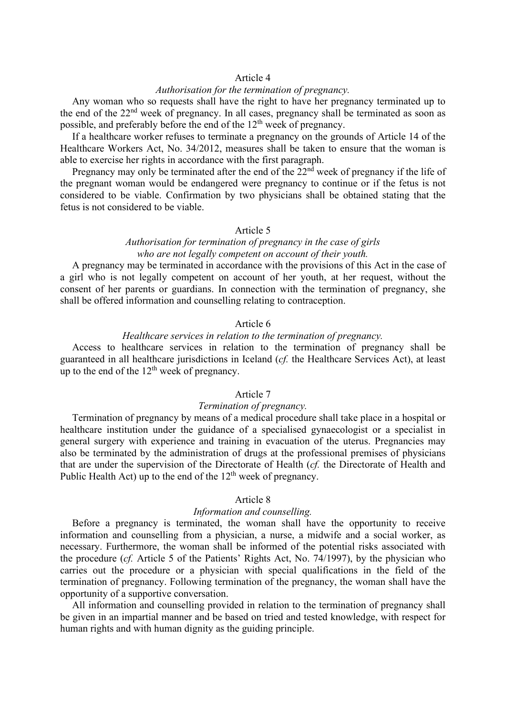### Article 4

# *Authorisation for the termination of pregnancy.*

Any woman who so requests shall have the right to have her pregnancy terminated up to the end of the 22<sup>nd</sup> week of pregnancy. In all cases, pregnancy shall be terminated as soon as possible, and preferably before the end of the  $12<sup>th</sup>$  week of pregnancy.

If a healthcare worker refuses to terminate a pregnancy on the grounds of Article 14 of the Healthcare Workers Act, No. 34/2012, measures shall be taken to ensure that the woman is able to exercise her rights in accordance with the first paragraph.

Pregnancy may only be terminated after the end of the  $\tilde{2}2^{nd}$  week of pregnancy if the life of the pregnant woman would be endangered were pregnancy to continue or if the fetus is not considered to be viable. Confirmation by two physicians shall be obtained stating that the fetus is not considered to be viable.

#### Article 5

### *Authorisation for termination of pregnancy in the case of girls who are not legally competent on account of their youth.*

A pregnancy may be terminated in accordance with the provisions of this Act in the case of a girl who is not legally competent on account of her youth, at her request, without the consent of her parents or guardians. In connection with the termination of pregnancy, she shall be offered information and counselling relating to contraception.

### Article 6

#### *Healthcare services in relation to the termination of pregnancy.*

Access to healthcare services in relation to the termination of pregnancy shall be guaranteed in all healthcare jurisdictions in Iceland (*cf.* the Healthcare Services Act), at least up to the end of the  $12<sup>th</sup>$  week of pregnancy.

### Article 7

## *Termination of pregnancy.*

Termination of pregnancy by means of a medical procedure shall take place in a hospital or healthcare institution under the guidance of a specialised gynaecologist or a specialist in general surgery with experience and training in evacuation of the uterus. Pregnancies may also be terminated by the administration of drugs at the professional premises of physicians that are under the supervision of the Directorate of Health (*cf.* the Directorate of Health and Public Health Act) up to the end of the  $12<sup>th</sup>$  week of pregnancy.

## Article 8

#### *Information and counselling.*

Before a pregnancy is terminated, the woman shall have the opportunity to receive information and counselling from a physician, a nurse, a midwife and a social worker, as necessary. Furthermore, the woman shall be informed of the potential risks associated with the procedure (*cf.* Article 5 of the Patients' Rights Act, No. 74/1997), by the physician who carries out the procedure or a physician with special qualifications in the field of the termination of pregnancy. Following termination of the pregnancy, the woman shall have the opportunity of a supportive conversation.

All information and counselling provided in relation to the termination of pregnancy shall be given in an impartial manner and be based on tried and tested knowledge, with respect for human rights and with human dignity as the guiding principle.